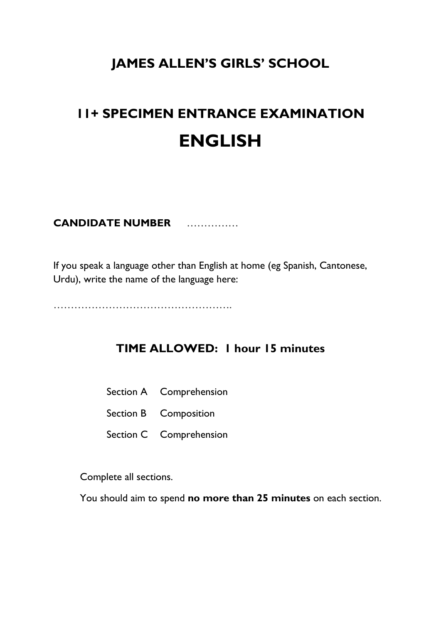# **JAMES ALLEN'S GIRLS' SCHOOL**

# **11+ SPECIMEN ENTRANCE EXAMINATION ENGLISH**

# **CANDIDATE NUMBER** ……………

If you speak a language other than English at home (eg Spanish, Cantonese, Urdu), write the name of the language here:

…………………………………………….

# **TIME ALLOWED: 1 hour 15 minutes**

- Section A Comprehension
- Section B Composition
- Section C Comprehension

Complete all sections.

You should aim to spend **no more than 25 minutes** on each section.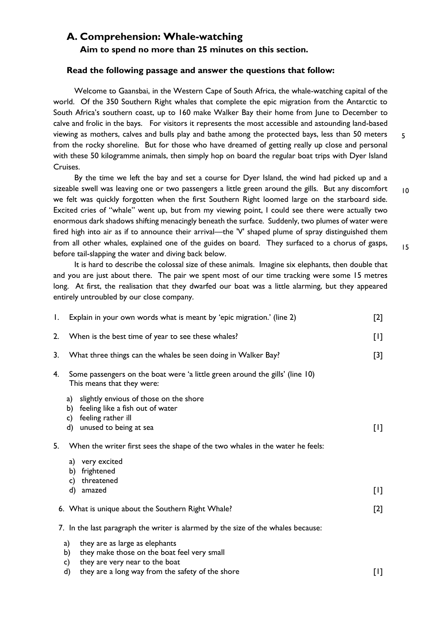## **A. Comprehension: Whale-watching**

**Aim to spend no more than 25 minutes on this section.** 

#### **Read the following passage and answer the questions that follow:**

Welcome to Gaansbai, in the Western Cape of South Africa, the whale-watching capital of the world. Of the 350 Southern Right whales that complete the epic migration from the Antarctic to South Africa's southern coast, up to 160 make Walker Bay their home from June to December to calve and frolic in the bays. For visitors it represents the most accessible and astounding land-based viewing as mothers, calves and bulls play and bathe among the protected bays, less than 50 meters from the rocky shoreline. But for those who have dreamed of getting really up close and personal with these 50 kilogramme animals, then simply hop on board the regular boat trips with Dyer Island Cruises. 5

By the time we left the bay and set a course for Dyer Island, the wind had picked up and a sizeable swell was leaving one or two passengers a little green around the gills. But any discomfort we felt was quickly forgotten when the first Southern Right loomed large on the starboard side. Excited cries of "whale" went up, but from my viewing point, I could see there were actually two enormous dark shadows shifting menacingly beneath the surface. Suddenly, two plumes of water were fired high into air as if to announce their arrival—the 'V' shaped plume of spray distinguished them from all other whales, explained one of the guides on board. They surfaced to a chorus of gasps, before tail-slapping the water and diving back below.

It is hard to describe the colossal size of these animals. Imagine six elephants, then double that and you are just about there. The pair we spent most of our time tracking were some 15 metres long. At first, the realisation that they dwarfed our boat was a little alarming, but they appeared entirely untroubled by our close company.

| Ι. | Explain in your own words what is meant by 'epic migration.' (line 2)                                                                              |       |  |  |
|----|----------------------------------------------------------------------------------------------------------------------------------------------------|-------|--|--|
| 2. | When is the best time of year to see these whales?                                                                                                 |       |  |  |
| 3. | What three things can the whales be seen doing in Walker Bay?                                                                                      |       |  |  |
| 4. | Some passengers on the boat were 'a little green around the gills' (line 10)<br>This means that they were:                                         |       |  |  |
|    | slightly envious of those on the shore<br>a)<br>feeling like a fish out of water<br>b)<br>feeling rather ill<br>c)<br>unused to being at sea<br>d) | $[1]$ |  |  |
| 5. | When the writer first sees the shape of the two whales in the water he feels:                                                                      |       |  |  |
|    | a) very excited<br>frightened<br>b)<br>threatened<br>C)                                                                                            |       |  |  |
|    | amazed<br>d)                                                                                                                                       | [1]   |  |  |
|    | 6. What is unique about the Southern Right Whale?                                                                                                  | $[2]$ |  |  |
|    | 7. In the last paragraph the writer is alarmed by the size of the whales because:                                                                  |       |  |  |
|    | they are as large as elephants<br>a)<br>they make those on the boat feel very small<br>b)<br>they are very near to the boat<br>c)                  |       |  |  |
|    |                                                                                                                                                    |       |  |  |

d) they are a long way from the safety of the shore [1]

10

15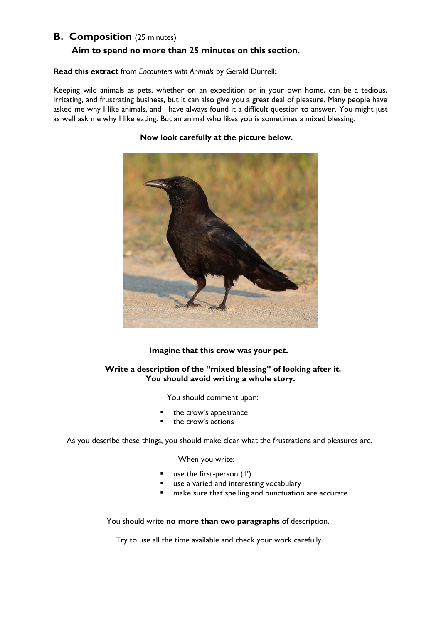## **B. Composition** (25 minutes)

### **Aim to spend no more than 25 minutes on this section.**

#### **Read this extract** from *Encounters with Animals* by Gerald Durrell**:**

Keeping wild animals as pets, whether on an expedition or in your own home, can be a tedious, irritating, and frustrating business, but it can also give you a great deal of pleasure. Many people have asked me why I like animals, and I have always found it a difficult question to answer. You might just as well ask me why I like eating. But an animal who likes you is sometimes a mixed blessing.



#### **Now look carefully at the picture below.**

 **Imagine that this crow was your pet.** 

#### **Write a description of the "mixed blessing" of looking after it. You should avoid writing a whole story.**

You should comment upon:

- the crow's appearance
- the crow's actions

As you describe these things, you should make clear what the frustrations and pleasures are.

#### When you write:

- use the first-person ('I')
- use a varied and interesting vocabulary
- make sure that spelling and punctuation are accurate

You should write **no more than two paragraphs** of description.

Try to use all the time available and check your work carefully.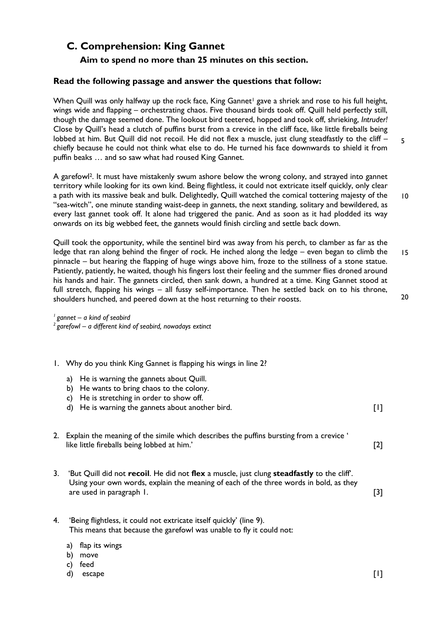# **C. Comprehension: King Gannet**

## **Aim to spend no more than 25 minutes on this section.**

#### **Read the following passage and answer the questions that follow:**

When Quill was only halfway up the rock face, King Gannet<sup>1</sup> gave a shriek and rose to his full height, wings wide and flapping – orchestrating chaos. Five thousand birds took off. Quill held perfectly still, though the damage seemed done. The lookout bird teetered, hopped and took off, shrieking, *Intruder!*  Close by Quill's head a clutch of puffins burst from a crevice in the cliff face, like little fireballs being lobbed at him. But Quill did not recoil. He did not flex a muscle, just clung steadfastly to the cliff – chiefly because he could not think what else to do. He turned his face downwards to shield it from puffin beaks … and so saw what had roused King Gannet.

A garefowl2. It must have mistakenly swum ashore below the wrong colony, and strayed into gannet territory while looking for its own kind. Being flightless, it could not extricate itself quickly, only clear a path with its massive beak and bulk. Delightedly, Quill watched the comical tottering majesty of the "sea-witch", one minute standing waist-deep in gannets, the next standing, solitary and bewildered, as every last gannet took off. It alone had triggered the panic. And as soon as it had plodded its way onwards on its big webbed feet, the gannets would finish circling and settle back down. 10

Quill took the opportunity, while the sentinel bird was away from his perch, to clamber as far as the ledge that ran along behind the finger of rock. He inched along the ledge – even began to climb the pinnacle – but hearing the flapping of huge wings above him, froze to the stillness of a stone statue. Patiently, patiently, he waited, though his fingers lost their feeling and the summer flies droned around his hands and hair. The gannets circled, then sank down, a hundred at a time. King Gannet stood at full stretch, flapping his wings – all fussy self-importance. Then he settled back on to his throne, shoulders hunched, and peered down at the host returning to their roosts. 15 20

*<sup>1</sup>gannet – a kind of seabird <sup>2</sup>garefowl – a different kind of seabird, nowadays extinct*

|    | 1. Why do you think King Gannet is flapping his wings in line 2?                                                                                                                                               |       |  |
|----|----------------------------------------------------------------------------------------------------------------------------------------------------------------------------------------------------------------|-------|--|
|    | He is warning the gannets about Quill.<br>a)<br>He wants to bring chaos to the colony.<br>b)<br>He is stretching in order to show off.<br>C)<br>He is warning the gannets about another bird.<br>d)            | U     |  |
|    | 2. Explain the meaning of the simile which describes the puffins bursting from a crevice '<br>like little fireballs being lobbed at him.'                                                                      | $[2]$ |  |
| 3. | 'But Quill did not recoil. He did not flex a muscle, just clung steadfastly to the cliff.<br>Using your own words, explain the meaning of each of the three words in bold, as they<br>are used in paragraph 1. | [3]   |  |
| 4. | 'Being flightless, it could not extricate itself quickly' (line 9).<br>This means that because the garefowl was unable to fly it could not:                                                                    |       |  |

- a) flap its wings
- b) move
- c) feed
- d) escape [1]

5